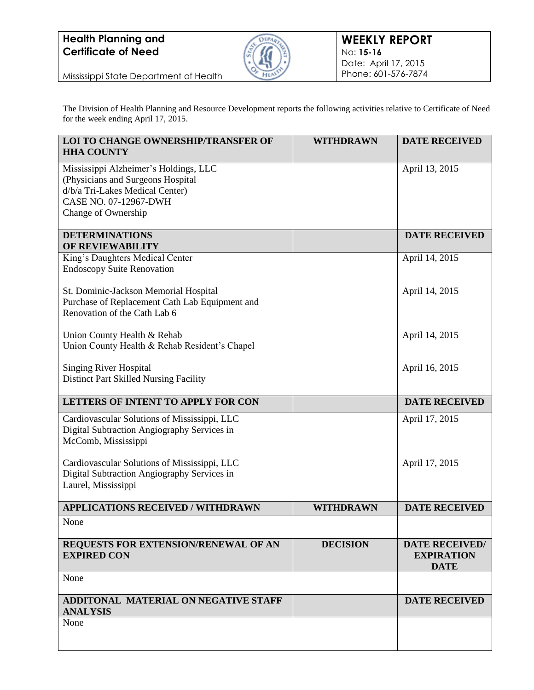

Mississippi State Department of Health

The Division of Health Planning and Resource Development reports the following activities relative to Certificate of Need for the week ending April 17, 2015.

| LOI TO CHANGE OWNERSHIP/TRANSFER OF<br><b>HHA COUNTY</b>                                                                | <b>WITHDRAWN</b> | <b>DATE RECEIVED</b>                                      |
|-------------------------------------------------------------------------------------------------------------------------|------------------|-----------------------------------------------------------|
| Mississippi Alzheimer's Holdings, LLC<br>(Physicians and Surgeons Hospital<br>d/b/a Tri-Lakes Medical Center)           |                  | April 13, 2015                                            |
| CASE NO. 07-12967-DWH<br>Change of Ownership                                                                            |                  |                                                           |
|                                                                                                                         |                  |                                                           |
| <b>DETERMINATIONS</b><br>OF REVIEWABILITY                                                                               |                  | <b>DATE RECEIVED</b>                                      |
| King's Daughters Medical Center<br><b>Endoscopy Suite Renovation</b>                                                    |                  | April 14, 2015                                            |
| St. Dominic-Jackson Memorial Hospital<br>Purchase of Replacement Cath Lab Equipment and<br>Renovation of the Cath Lab 6 |                  | April 14, 2015                                            |
| Union County Health & Rehab<br>Union County Health & Rehab Resident's Chapel                                            |                  | April 14, 2015                                            |
| <b>Singing River Hospital</b><br>Distinct Part Skilled Nursing Facility                                                 |                  | April 16, 2015                                            |
| LETTERS OF INTENT TO APPLY FOR CON                                                                                      |                  | <b>DATE RECEIVED</b>                                      |
| Cardiovascular Solutions of Mississippi, LLC<br>Digital Subtraction Angiography Services in<br>McComb, Mississippi      |                  | April 17, 2015                                            |
| Cardiovascular Solutions of Mississippi, LLC<br>Digital Subtraction Angiography Services in<br>Laurel, Mississippi      |                  | April 17, 2015                                            |
| <b>APPLICATIONS RECEIVED / WITHDRAWN</b>                                                                                | <b>WITHDRAWN</b> | <b>DATE RECEIVED</b>                                      |
| None                                                                                                                    |                  |                                                           |
| REQUESTS FOR EXTENSION/RENEWAL OF AN<br><b>EXPIRED CON</b>                                                              | <b>DECISION</b>  | <b>DATE RECEIVED/</b><br><b>EXPIRATION</b><br><b>DATE</b> |
| None                                                                                                                    |                  |                                                           |
| ADDITONAL MATERIAL ON NEGATIVE STAFF<br><b>ANALYSIS</b>                                                                 |                  | <b>DATE RECEIVED</b>                                      |
| None                                                                                                                    |                  |                                                           |
|                                                                                                                         |                  |                                                           |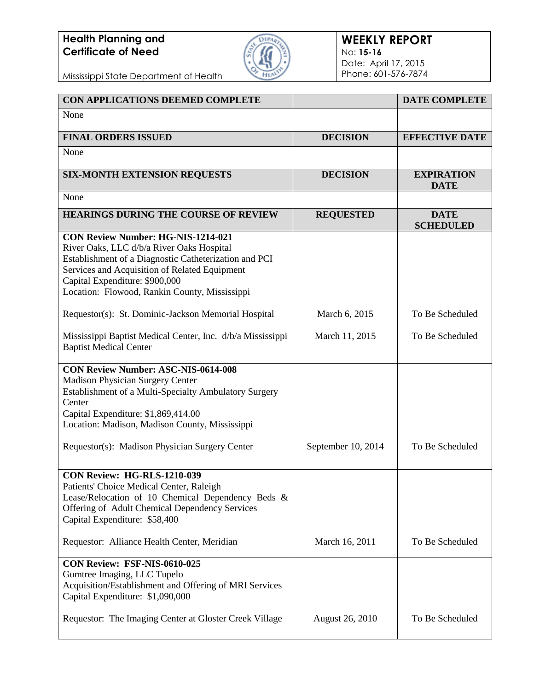

#### **WEEKLY REPORT** No: **15-16** Date: April 17, 2015 Phone: 601-576-7874

Mississippi State Department of Health

| CON APPLICATIONS DEEMED COMPLETE                                                                                                                                                                                                                                             |                        | <b>DATE COMPLETE</b>             |
|------------------------------------------------------------------------------------------------------------------------------------------------------------------------------------------------------------------------------------------------------------------------------|------------------------|----------------------------------|
| None                                                                                                                                                                                                                                                                         |                        |                                  |
| <b>FINAL ORDERS ISSUED</b>                                                                                                                                                                                                                                                   | <b>DECISION</b>        | <b>EFFECTIVE DATE</b>            |
| None                                                                                                                                                                                                                                                                         |                        |                                  |
| <b>SIX-MONTH EXTENSION REQUESTS</b>                                                                                                                                                                                                                                          | <b>DECISION</b>        | <b>EXPIRATION</b><br><b>DATE</b> |
| None                                                                                                                                                                                                                                                                         |                        |                                  |
| <b>HEARINGS DURING THE COURSE OF REVIEW</b>                                                                                                                                                                                                                                  | <b>REQUESTED</b>       | <b>DATE</b><br><b>SCHEDULED</b>  |
| CON Review Number: HG-NIS-1214-021<br>River Oaks, LLC d/b/a River Oaks Hospital<br>Establishment of a Diagnostic Catheterization and PCI<br>Services and Acquisition of Related Equipment<br>Capital Expenditure: \$900,000<br>Location: Flowood, Rankin County, Mississippi |                        |                                  |
| Requestor(s): St. Dominic-Jackson Memorial Hospital                                                                                                                                                                                                                          | March 6, 2015          | To Be Scheduled                  |
| Mississippi Baptist Medical Center, Inc. d/b/a Mississippi<br><b>Baptist Medical Center</b>                                                                                                                                                                                  | March 11, 2015         | To Be Scheduled                  |
| <b>CON Review Number: ASC-NIS-0614-008</b><br>Madison Physician Surgery Center<br>Establishment of a Multi-Specialty Ambulatory Surgery<br>Center<br>Capital Expenditure: \$1,869,414.00<br>Location: Madison, Madison County, Mississippi                                   |                        |                                  |
| Requestor(s): Madison Physician Surgery Center                                                                                                                                                                                                                               | September 10, 2014     | To Be Scheduled                  |
| <b>CON Review: HG-RLS-1210-039</b><br>Patients' Choice Medical Center, Raleigh<br>Lease/Relocation of 10 Chemical Dependency Beds &<br>Offering of Adult Chemical Dependency Services<br>Capital Expenditure: \$58,400                                                       |                        |                                  |
| Requestor: Alliance Health Center, Meridian                                                                                                                                                                                                                                  | March 16, 2011         | To Be Scheduled                  |
| CON Review: FSF-NIS-0610-025<br>Gumtree Imaging, LLC Tupelo<br>Acquisition/Establishment and Offering of MRI Services<br>Capital Expenditure: \$1,090,000                                                                                                                    |                        |                                  |
| Requestor: The Imaging Center at Gloster Creek Village                                                                                                                                                                                                                       | <b>August 26, 2010</b> | To Be Scheduled                  |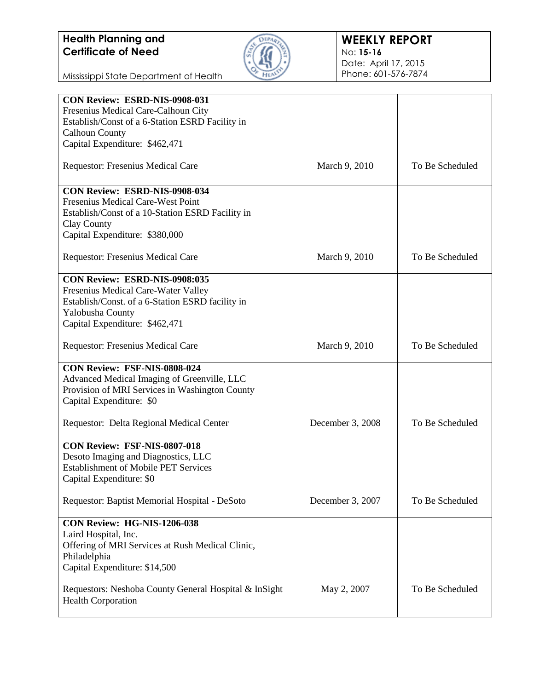

#### **WEEKLY REPORT** No: **15-16** Date: April 17, 2015 Phone: 601-576-7874

Mississippi State Department of Health

| Fresenius Medical Care-Calhoun City<br>Establish/Const of a 6-Station ESRD Facility in<br><b>Calhoun County</b><br>Capital Expenditure: \$462,471<br>To Be Scheduled<br><b>Requestor: Fresenius Medical Care</b><br>March 9, 2010<br>CON Review: ESRD-NIS-0908-034<br>Fresenius Medical Care-West Point<br>Establish/Const of a 10-Station ESRD Facility in<br>Clay County<br>Capital Expenditure: \$380,000<br>To Be Scheduled<br><b>Requestor: Fresenius Medical Care</b><br>March 9, 2010<br><b>CON Review: ESRD-NIS-0908:035</b><br>Fresenius Medical Care-Water Valley<br>Establish/Const. of a 6-Station ESRD facility in<br>Yalobusha County<br>Capital Expenditure: \$462,471<br>Requestor: Fresenius Medical Care<br>To Be Scheduled<br>March 9, 2010<br>CON Review: FSF-NIS-0808-024<br>Advanced Medical Imaging of Greenville, LLC<br>Provision of MRI Services in Washington County<br>Capital Expenditure: \$0<br>To Be Scheduled<br>Requestor: Delta Regional Medical Center<br>December 3, 2008<br>CON Review: FSF-NIS-0807-018<br>Desoto Imaging and Diagnostics, LLC<br><b>Establishment of Mobile PET Services</b><br>Capital Expenditure: \$0<br>Requestor: Baptist Memorial Hospital - DeSoto<br>December 3, 2007<br>To Be Scheduled<br>CON Review: HG-NIS-1206-038<br>Laird Hospital, Inc.<br>Offering of MRI Services at Rush Medical Clinic,<br>Philadelphia<br>Capital Expenditure: \$14,500<br>To Be Scheduled<br>Requestors: Neshoba County General Hospital & InSight<br>May 2, 2007<br><b>Health Corporation</b> | CON Review: ESRD-NIS-0908-031 |  |
|----------------------------------------------------------------------------------------------------------------------------------------------------------------------------------------------------------------------------------------------------------------------------------------------------------------------------------------------------------------------------------------------------------------------------------------------------------------------------------------------------------------------------------------------------------------------------------------------------------------------------------------------------------------------------------------------------------------------------------------------------------------------------------------------------------------------------------------------------------------------------------------------------------------------------------------------------------------------------------------------------------------------------------------------------------------------------------------------------------------------------------------------------------------------------------------------------------------------------------------------------------------------------------------------------------------------------------------------------------------------------------------------------------------------------------------------------------------------------------------------------------------------------------------------|-------------------------------|--|
|                                                                                                                                                                                                                                                                                                                                                                                                                                                                                                                                                                                                                                                                                                                                                                                                                                                                                                                                                                                                                                                                                                                                                                                                                                                                                                                                                                                                                                                                                                                                              |                               |  |
|                                                                                                                                                                                                                                                                                                                                                                                                                                                                                                                                                                                                                                                                                                                                                                                                                                                                                                                                                                                                                                                                                                                                                                                                                                                                                                                                                                                                                                                                                                                                              |                               |  |
|                                                                                                                                                                                                                                                                                                                                                                                                                                                                                                                                                                                                                                                                                                                                                                                                                                                                                                                                                                                                                                                                                                                                                                                                                                                                                                                                                                                                                                                                                                                                              |                               |  |
|                                                                                                                                                                                                                                                                                                                                                                                                                                                                                                                                                                                                                                                                                                                                                                                                                                                                                                                                                                                                                                                                                                                                                                                                                                                                                                                                                                                                                                                                                                                                              |                               |  |
|                                                                                                                                                                                                                                                                                                                                                                                                                                                                                                                                                                                                                                                                                                                                                                                                                                                                                                                                                                                                                                                                                                                                                                                                                                                                                                                                                                                                                                                                                                                                              |                               |  |
|                                                                                                                                                                                                                                                                                                                                                                                                                                                                                                                                                                                                                                                                                                                                                                                                                                                                                                                                                                                                                                                                                                                                                                                                                                                                                                                                                                                                                                                                                                                                              |                               |  |
|                                                                                                                                                                                                                                                                                                                                                                                                                                                                                                                                                                                                                                                                                                                                                                                                                                                                                                                                                                                                                                                                                                                                                                                                                                                                                                                                                                                                                                                                                                                                              |                               |  |
|                                                                                                                                                                                                                                                                                                                                                                                                                                                                                                                                                                                                                                                                                                                                                                                                                                                                                                                                                                                                                                                                                                                                                                                                                                                                                                                                                                                                                                                                                                                                              |                               |  |
|                                                                                                                                                                                                                                                                                                                                                                                                                                                                                                                                                                                                                                                                                                                                                                                                                                                                                                                                                                                                                                                                                                                                                                                                                                                                                                                                                                                                                                                                                                                                              |                               |  |
|                                                                                                                                                                                                                                                                                                                                                                                                                                                                                                                                                                                                                                                                                                                                                                                                                                                                                                                                                                                                                                                                                                                                                                                                                                                                                                                                                                                                                                                                                                                                              |                               |  |
|                                                                                                                                                                                                                                                                                                                                                                                                                                                                                                                                                                                                                                                                                                                                                                                                                                                                                                                                                                                                                                                                                                                                                                                                                                                                                                                                                                                                                                                                                                                                              |                               |  |
|                                                                                                                                                                                                                                                                                                                                                                                                                                                                                                                                                                                                                                                                                                                                                                                                                                                                                                                                                                                                                                                                                                                                                                                                                                                                                                                                                                                                                                                                                                                                              |                               |  |
|                                                                                                                                                                                                                                                                                                                                                                                                                                                                                                                                                                                                                                                                                                                                                                                                                                                                                                                                                                                                                                                                                                                                                                                                                                                                                                                                                                                                                                                                                                                                              |                               |  |
|                                                                                                                                                                                                                                                                                                                                                                                                                                                                                                                                                                                                                                                                                                                                                                                                                                                                                                                                                                                                                                                                                                                                                                                                                                                                                                                                                                                                                                                                                                                                              |                               |  |
|                                                                                                                                                                                                                                                                                                                                                                                                                                                                                                                                                                                                                                                                                                                                                                                                                                                                                                                                                                                                                                                                                                                                                                                                                                                                                                                                                                                                                                                                                                                                              |                               |  |
|                                                                                                                                                                                                                                                                                                                                                                                                                                                                                                                                                                                                                                                                                                                                                                                                                                                                                                                                                                                                                                                                                                                                                                                                                                                                                                                                                                                                                                                                                                                                              |                               |  |
|                                                                                                                                                                                                                                                                                                                                                                                                                                                                                                                                                                                                                                                                                                                                                                                                                                                                                                                                                                                                                                                                                                                                                                                                                                                                                                                                                                                                                                                                                                                                              |                               |  |
|                                                                                                                                                                                                                                                                                                                                                                                                                                                                                                                                                                                                                                                                                                                                                                                                                                                                                                                                                                                                                                                                                                                                                                                                                                                                                                                                                                                                                                                                                                                                              |                               |  |
|                                                                                                                                                                                                                                                                                                                                                                                                                                                                                                                                                                                                                                                                                                                                                                                                                                                                                                                                                                                                                                                                                                                                                                                                                                                                                                                                                                                                                                                                                                                                              |                               |  |
|                                                                                                                                                                                                                                                                                                                                                                                                                                                                                                                                                                                                                                                                                                                                                                                                                                                                                                                                                                                                                                                                                                                                                                                                                                                                                                                                                                                                                                                                                                                                              |                               |  |
|                                                                                                                                                                                                                                                                                                                                                                                                                                                                                                                                                                                                                                                                                                                                                                                                                                                                                                                                                                                                                                                                                                                                                                                                                                                                                                                                                                                                                                                                                                                                              |                               |  |
|                                                                                                                                                                                                                                                                                                                                                                                                                                                                                                                                                                                                                                                                                                                                                                                                                                                                                                                                                                                                                                                                                                                                                                                                                                                                                                                                                                                                                                                                                                                                              |                               |  |
|                                                                                                                                                                                                                                                                                                                                                                                                                                                                                                                                                                                                                                                                                                                                                                                                                                                                                                                                                                                                                                                                                                                                                                                                                                                                                                                                                                                                                                                                                                                                              |                               |  |
|                                                                                                                                                                                                                                                                                                                                                                                                                                                                                                                                                                                                                                                                                                                                                                                                                                                                                                                                                                                                                                                                                                                                                                                                                                                                                                                                                                                                                                                                                                                                              |                               |  |
|                                                                                                                                                                                                                                                                                                                                                                                                                                                                                                                                                                                                                                                                                                                                                                                                                                                                                                                                                                                                                                                                                                                                                                                                                                                                                                                                                                                                                                                                                                                                              |                               |  |
|                                                                                                                                                                                                                                                                                                                                                                                                                                                                                                                                                                                                                                                                                                                                                                                                                                                                                                                                                                                                                                                                                                                                                                                                                                                                                                                                                                                                                                                                                                                                              |                               |  |
|                                                                                                                                                                                                                                                                                                                                                                                                                                                                                                                                                                                                                                                                                                                                                                                                                                                                                                                                                                                                                                                                                                                                                                                                                                                                                                                                                                                                                                                                                                                                              |                               |  |
|                                                                                                                                                                                                                                                                                                                                                                                                                                                                                                                                                                                                                                                                                                                                                                                                                                                                                                                                                                                                                                                                                                                                                                                                                                                                                                                                                                                                                                                                                                                                              |                               |  |
|                                                                                                                                                                                                                                                                                                                                                                                                                                                                                                                                                                                                                                                                                                                                                                                                                                                                                                                                                                                                                                                                                                                                                                                                                                                                                                                                                                                                                                                                                                                                              |                               |  |
|                                                                                                                                                                                                                                                                                                                                                                                                                                                                                                                                                                                                                                                                                                                                                                                                                                                                                                                                                                                                                                                                                                                                                                                                                                                                                                                                                                                                                                                                                                                                              |                               |  |
|                                                                                                                                                                                                                                                                                                                                                                                                                                                                                                                                                                                                                                                                                                                                                                                                                                                                                                                                                                                                                                                                                                                                                                                                                                                                                                                                                                                                                                                                                                                                              |                               |  |
|                                                                                                                                                                                                                                                                                                                                                                                                                                                                                                                                                                                                                                                                                                                                                                                                                                                                                                                                                                                                                                                                                                                                                                                                                                                                                                                                                                                                                                                                                                                                              |                               |  |
|                                                                                                                                                                                                                                                                                                                                                                                                                                                                                                                                                                                                                                                                                                                                                                                                                                                                                                                                                                                                                                                                                                                                                                                                                                                                                                                                                                                                                                                                                                                                              |                               |  |
|                                                                                                                                                                                                                                                                                                                                                                                                                                                                                                                                                                                                                                                                                                                                                                                                                                                                                                                                                                                                                                                                                                                                                                                                                                                                                                                                                                                                                                                                                                                                              |                               |  |
|                                                                                                                                                                                                                                                                                                                                                                                                                                                                                                                                                                                                                                                                                                                                                                                                                                                                                                                                                                                                                                                                                                                                                                                                                                                                                                                                                                                                                                                                                                                                              |                               |  |
|                                                                                                                                                                                                                                                                                                                                                                                                                                                                                                                                                                                                                                                                                                                                                                                                                                                                                                                                                                                                                                                                                                                                                                                                                                                                                                                                                                                                                                                                                                                                              |                               |  |
|                                                                                                                                                                                                                                                                                                                                                                                                                                                                                                                                                                                                                                                                                                                                                                                                                                                                                                                                                                                                                                                                                                                                                                                                                                                                                                                                                                                                                                                                                                                                              |                               |  |
|                                                                                                                                                                                                                                                                                                                                                                                                                                                                                                                                                                                                                                                                                                                                                                                                                                                                                                                                                                                                                                                                                                                                                                                                                                                                                                                                                                                                                                                                                                                                              |                               |  |
|                                                                                                                                                                                                                                                                                                                                                                                                                                                                                                                                                                                                                                                                                                                                                                                                                                                                                                                                                                                                                                                                                                                                                                                                                                                                                                                                                                                                                                                                                                                                              |                               |  |
|                                                                                                                                                                                                                                                                                                                                                                                                                                                                                                                                                                                                                                                                                                                                                                                                                                                                                                                                                                                                                                                                                                                                                                                                                                                                                                                                                                                                                                                                                                                                              |                               |  |
|                                                                                                                                                                                                                                                                                                                                                                                                                                                                                                                                                                                                                                                                                                                                                                                                                                                                                                                                                                                                                                                                                                                                                                                                                                                                                                                                                                                                                                                                                                                                              |                               |  |